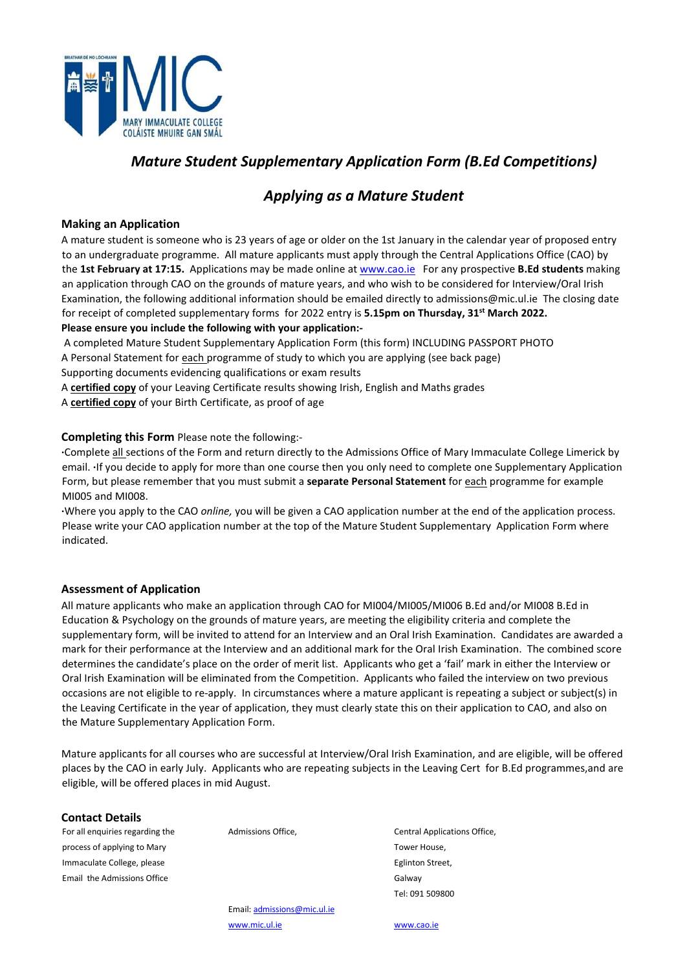

## *Mature Student Supplementary Application Form (B.Ed Competitions)*

## *Applying as a Mature Student*

#### **Making an Application**

A mature student is someone who is 23 years of age or older on the 1st January in the calendar year of proposed entry to an undergraduate programme. All mature applicants must apply through the Central Applications Office (CAO) by the **1st February at 17:15.** Applications may be made online at [www.cao.ie F](http://www.cao.ie/)or any prospective **B.Ed students** making an application through CAO on the grounds of mature years, and who wish to be considered for Interview/Oral Irish Examination, the following additional information should be emailed directly to admissions@mic.ul.ie The closing date for receipt of completed supplementary forms for 2022 entry is **5.15pm on Thursday, 31st March 2022. Please ensure you include the following with your application:-** 

A completed Mature Student Supplementary Application Form (this form) INCLUDING PASSPORT PHOTO A Personal Statement for each programme of study to which you are applying (see back page) Supporting documents evidencing qualifications or exam results

A **certified copy** of your Leaving Certificate results showing Irish, English and Maths grades A **certified copy** of your Birth Certificate, as proof of age

#### **Completing this Form** Please note the following:-

**·**Complete all sections of the Form and return directly to the Admissions Office of Mary Immaculate College Limerick by email. **·**If you decide to apply for more than one course then you only need to complete one Supplementary Application Form, but please remember that you must submit a **separate Personal Statement** for each programme for example MI005 and MI008.

**·**Where you apply to the CAO *online,* you will be given a CAO application number at the end of the application process. Please write your CAO application number at the top of the Mature Student Supplementary Application Form where indicated.

#### **Assessment of Application**

All mature applicants who make an application through CAO for MI004/MI005/MI006 B.Ed and/or MI008 B.Ed in Education & Psychology on the grounds of mature years, are meeting the eligibility criteria and complete the supplementary form, will be invited to attend for an Interview and an Oral Irish Examination. Candidates are awarded a mark for their performance at the Interview and an additional mark for the Oral Irish Examination. The combined score determines the candidate's place on the order of merit list. Applicants who get a 'fail' mark in either the Interview or Oral Irish Examination will be eliminated from the Competition. Applicants who failed the interview on two previous occasions are not eligible to re-apply. In circumstances where a mature applicant is repeating a subject or subject(s) in the Leaving Certificate in the year of application, they must clearly state this on their application to CAO, and also on the Mature Supplementary Application Form.

Mature applicants for all courses who are successful at Interview/Oral Irish Examination, and are eligible, will be offered places by the CAO in early July. Applicants who are repeating subjects in the Leaving Cert for B.Ed programmes,and are eligible, will be offered places in mid August.

#### **Contact Details**

For all enquiries regarding the Admissions Office, Central Applications Office, process of applying to Mary Tower House, and the Mary Tower House, and the Tower House, and the Tower House,  $\sim$ Immaculate College, please **Eglinton Street**, **Eglinton Street**, **Eglinton Street**, Email the Admissions Office Galway Control of the Admissions Office

Tel: 091 509800

 Email: admissions@mic.ul.ie [www.mic.ul.ie](http://www.mic.ul.ie/) [www.cao.ie](http://www.cao.ie/)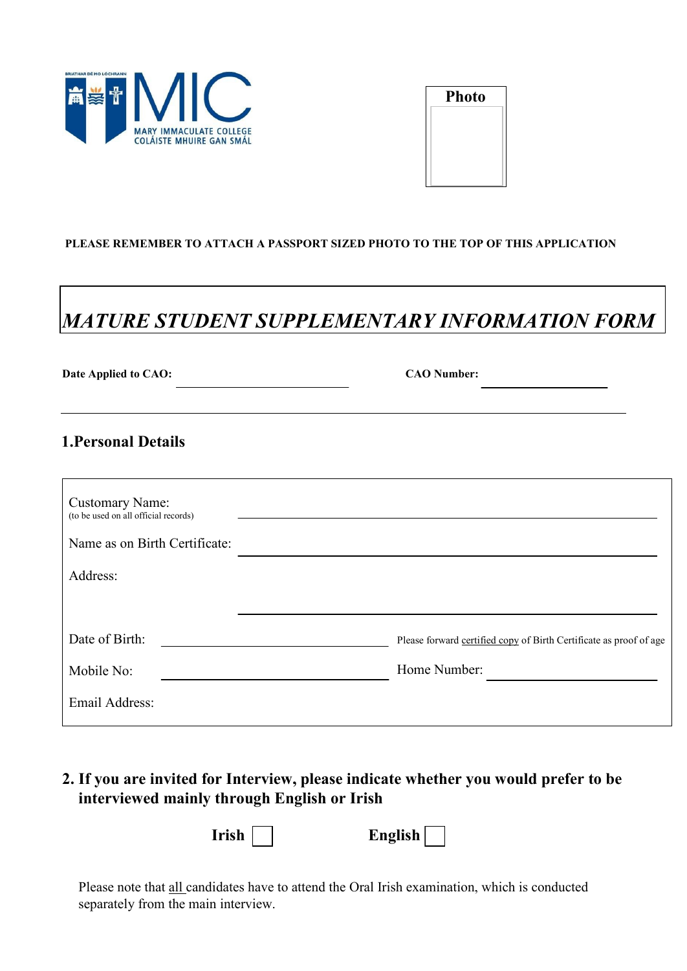

| <b>Photo</b> |  |
|--------------|--|
|              |  |
|              |  |
|              |  |
|              |  |

#### **PLEASE REMEMBER TO ATTACH A PASSPORT SIZED PHOTO TO THE TOP OF THIS APPLICATION**

# *MATURE STUDENT SUPPLEMENTARY INFORMATION FORM*

| Date Applied to CAO:                                           | <b>CAO Number:</b>                                                 |
|----------------------------------------------------------------|--------------------------------------------------------------------|
| <b>1. Personal Details</b>                                     |                                                                    |
| <b>Customary Name:</b><br>(to be used on all official records) |                                                                    |
| Name as on Birth Certificate:<br>Address:                      |                                                                    |
| Date of Birth:                                                 | Please forward certified copy of Birth Certificate as proof of age |
| Mobile No:                                                     | Home Number:                                                       |
| Email Address:                                                 |                                                                    |

**2. If you are invited for Interview, please indicate whether you would prefer to be interviewed mainly through English or Irish**

**Irish English** 

Please note that all candidates have to attend the Oral Irish examination, which is conducted separately from the main interview.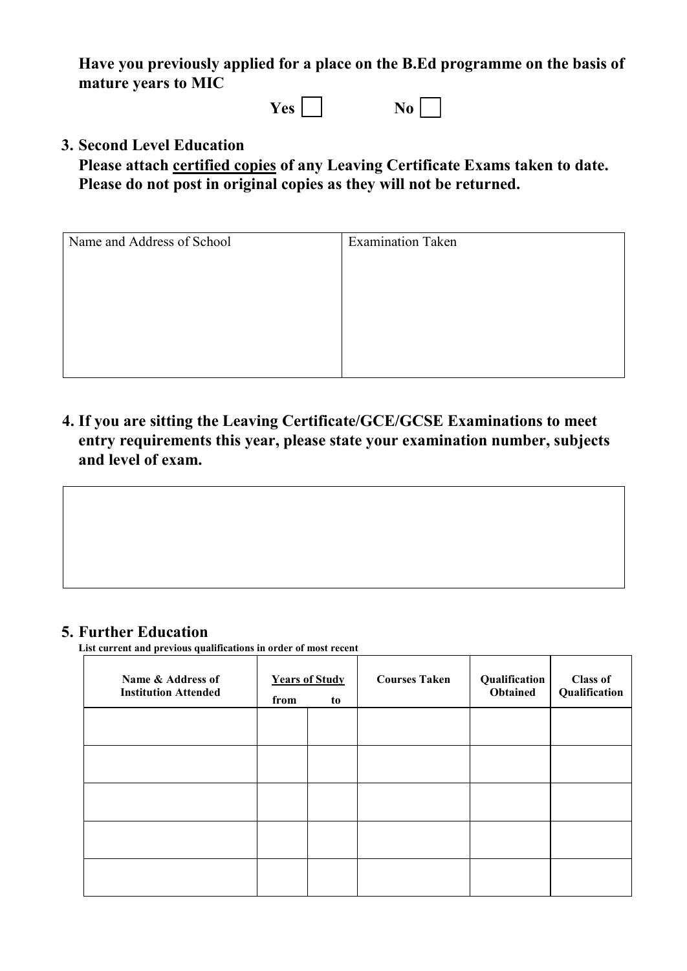**Have you previously applied for a place on the B.Ed programme on the basis of mature years to MIC** 

 $Yes \Box$  No  $\Box$ 

## **3. Second Level Education**

**Please attach certified copies of any Leaving Certificate Exams taken to date. Please do not post in original copies as they will not be returned.** 

| <b>Examination Taken</b> |  |  |
|--------------------------|--|--|
|                          |  |  |
|                          |  |  |
|                          |  |  |
|                          |  |  |
|                          |  |  |
|                          |  |  |

**4. If you are sitting the Leaving Certificate/GCE/GCSE Examinations to meet entry requirements this year, please state your examination number, subjects and level of exam.** 

## **5. Further Education**

List current and previous qualifications in order of most recent

| Name & Address of<br><b>Institution Attended</b> | from | <b>Years of Study</b><br>to | <b>Courses Taken</b> | Qualification<br>Obtained | <b>Class of</b><br>Qualification |
|--------------------------------------------------|------|-----------------------------|----------------------|---------------------------|----------------------------------|
|                                                  |      |                             |                      |                           |                                  |
|                                                  |      |                             |                      |                           |                                  |
|                                                  |      |                             |                      |                           |                                  |
|                                                  |      |                             |                      |                           |                                  |
|                                                  |      |                             |                      |                           |                                  |

 $\overline{\phantom{a}}$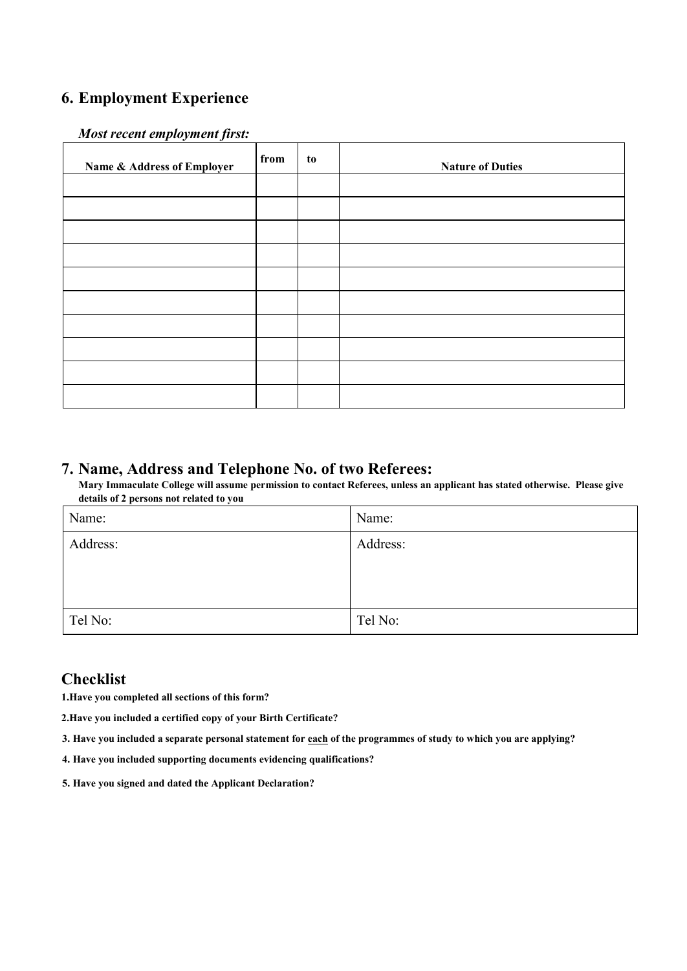## **6. Employment Experience**

#### *Most recent employment first:*

| Name & Address of Employer | from | to | <b>Nature of Duties</b> |
|----------------------------|------|----|-------------------------|
|                            |      |    |                         |
|                            |      |    |                         |
|                            |      |    |                         |
|                            |      |    |                         |
|                            |      |    |                         |
|                            |      |    |                         |
|                            |      |    |                         |
|                            |      |    |                         |
|                            |      |    |                         |
|                            |      |    |                         |

**7. Name, Address and Telephone No. of two Referees:** Mary Immaculate College will assume permission to contact Referees, unless an applicant has stated otherwise. Please give  **details of 2 persons not related to you** 

| Name:    | Name:    |
|----------|----------|
| Address: | Address: |
|          |          |
|          |          |
| Tel No:  | Tel No:  |

## **Checklist**

**1.Have you completed all sections of this form?** 

**2.Have you included a certified copy of your Birth Certificate?** 

- **3. Have you included a separate personal statement for each of the programmes of study to which you are applying?**
- **4. Have you included supporting documents evidencing qualifications?**
- **5. Have you signed and dated the Applicant Declaration?**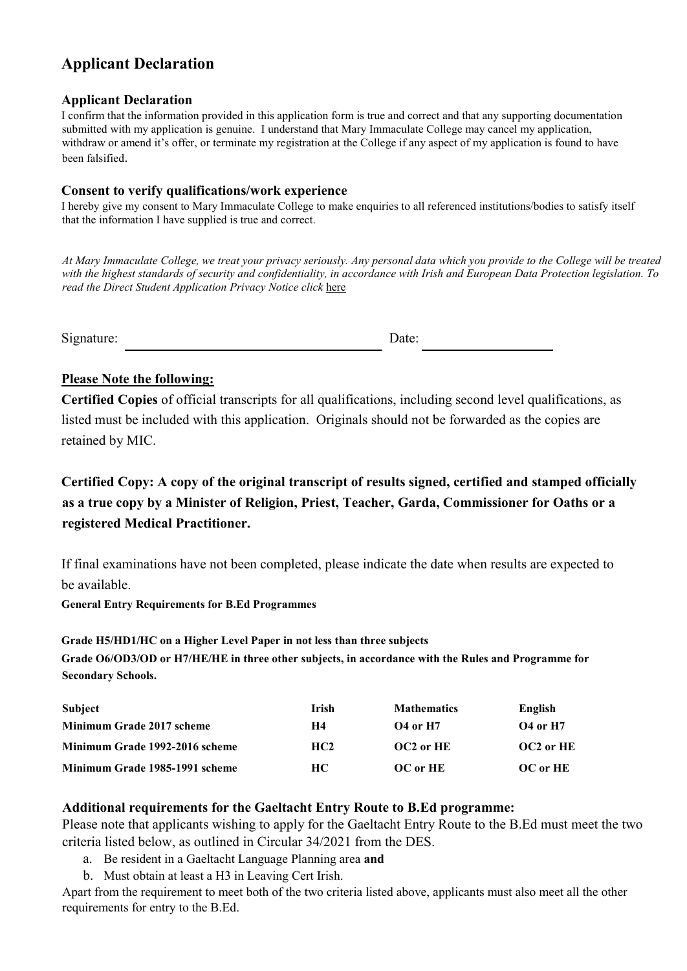## **Applicant Declaration**

#### **Applicant Declaration**

I confirm that the information provided in this application form is true and correct and that any supporting documentation submitted with my application is genuine. I understand that Mary Immaculate College may cancel my application, withdraw or amend it's offer, or terminate my registration at the College if any aspect of my application is found to have been falsified.

#### **Consent to verify qualifications/work experience**

I hereby give my consent to Mary Immaculate College to make enquiries to all referenced institutions/bodies to satisfy itself that the information I have supplied is true and correct.

*At Mary Immaculate College, we treat your privacy seriously. Any personal data which you provide to the College will be treated with the highest standards of security and confidentiality, in accordance with Irish and European Data Protection legislation. To read the Direct Student Application Privacy Notice click* [here](https://www.mic.ul.ie/sites/default/files/uploads/461/Direct%20Student%20Application%20Privacy%20Notice_1.pdf)

Signature: Date: Date:

## **Please Note the following:**

**Certified Copies** of official transcripts for all qualifications, including second level qualifications, as listed must be included with this application. Originals should not be forwarded as the copies are retained by MIC.

**Certified Copy: A copy of the original transcript of results signed, certified and stamped officially as a true copy by a Minister of Religion, Priest, Teacher, Garda, Commissioner for Oaths or a registered Medical Practitioner.** 

If final examinations have not been completed, please indicate the date when results are expected to be available.

**General Entry Requirements for B.Ed Programmes** 

**Grade H5/HD1/HC on a Higher Level Paper in not less than three subjects Grade O6/OD3/OD or H7/HE/HE in three other subjects, in accordance with the Rules and Programme for Secondary Schools.** 

| <b>Subject</b>                   | <b>Irish</b>    | <b>Mathematics</b> | English         |
|----------------------------------|-----------------|--------------------|-----------------|
| <b>Minimum Grade 2017 scheme</b> | H4              | <b>O4 or H7</b>    | <b>O4 or H7</b> |
| Minimum Grade 1992-2016 scheme   | HC <sub>2</sub> | OC2 or HE          | OC2 or HE       |
| Minimum Grade 1985-1991 scheme   | HC.             | OC or HE           | OC or HE        |

## **Additional requirements for the Gaeltacht Entry Route to B.Ed programme:**

Please note that applicants wishing to apply for the Gaeltacht Entry Route to the B.Ed must meet the two criteria listed below, as outlined in Circular 34/2021 from the DES.

- a. Be resident in a Gaeltacht Language Planning area **and**
- b. Must obtain at least a H3 in Leaving Cert Irish.

Apart from the requirement to meet both of the two criteria listed above, applicants must also meet all the other requirements for entry to the B.Ed.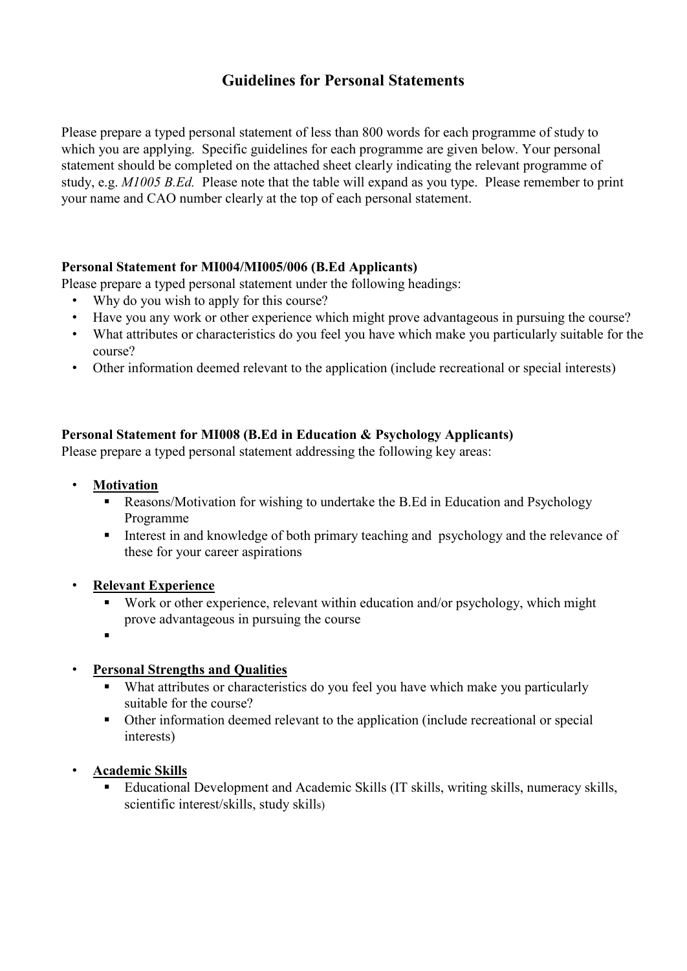## **Guidelines for Personal Statements**

Please prepare a typed personal statement of less than 800 words for each programme of study to which you are applying. Specific guidelines for each programme are given below. Your personal statement should be completed on the attached sheet clearly indicating the relevant programme of study, e.g. *M1005 B.Ed.* Please note that the table will expand as you type. Please remember to print your name and CAO number clearly at the top of each personal statement.

## **Personal Statement for MI004/MI005/006 (B.Ed Applicants)**

Please prepare a typed personal statement under the following headings:

- Why do you wish to apply for this course?
- Have you any work or other experience which might prove advantageous in pursuing the course?
- What attributes or characteristics do you feel you have which make you particularly suitable for the course?
- Other information deemed relevant to the application (include recreational or special interests)

## **Personal Statement for MI008 (B.Ed in Education & Psychology Applicants)**

Please prepare a typed personal statement addressing the following key areas:

- **Motivation**
	- Reasons/Motivation for wishing to undertake the B.Ed in Education and Psychology Programme
	- Interest in and knowledge of both primary teaching and psychology and the relevance of these for your career aspirations

## • **Relevant Experience**

- Work or other experience, relevant within education and/or psychology, which might prove advantageous in pursuing the course
- .

## • **Personal Strengths and Qualities**

- What attributes or characteristics do you feel you have which make you particularly suitable for the course?
- Other information deemed relevant to the application (include recreational or special interests)

## • **Academic Skills**

 Educational Development and Academic Skills (IT skills, writing skills, numeracy skills, scientific interest/skills, study skills)